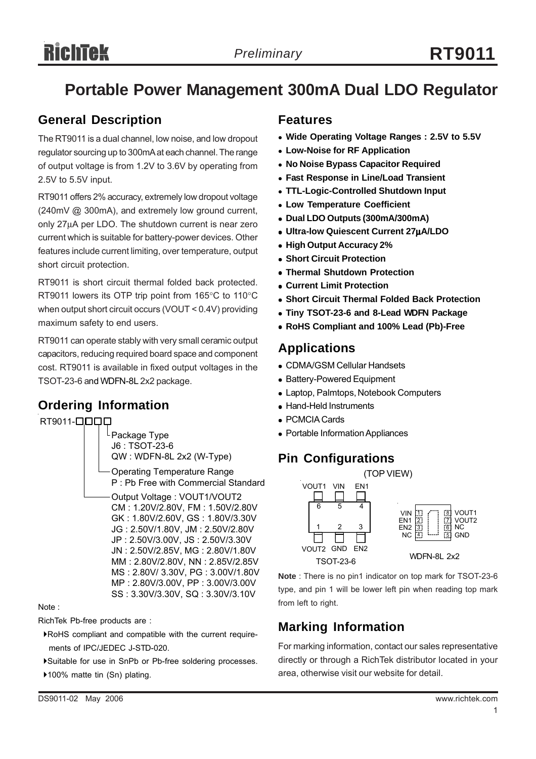# **Portable Power Management 300mA Dual LDO Regulator**

#### **General Description**

The RT9011 is a dual channel, low noise, and low dropout regulator sourcing up to 300mA at each channel. The range of output voltage is from 1.2V to 3.6V by operating from 2.5V to 5.5V input.

RT9011 offers 2% accuracy, extremely low dropout voltage (240mV @ 300mA), and extremely low ground current, only 27μA per LDO. The shutdown current is near zero current which is suitable for battery-power devices. Other features include current limiting, over temperature, output short circuit protection.

RT9011 is short circuit thermal folded back protected. RT9011 lowers its OTP trip point from 165°C to 110°C when output short circuit occurs (VOUT < 0.4V) providing maximum safety to end users.

RT9011 can operate stably with very small ceramic output capacitors, reducing required board space and component cost. RT9011 is available in fixed output voltages in the TSOT-23-6 and WDFN-8L 2x2 package.

### **Ordering Information**



RichTek Pb-free products are :

- `RoHS compliant and compatible with the current require ments of IPC/JEDEC J-STD-020.
- `Suitable for use in SnPb or Pb-free soldering processes.

▶100% matte tin (Sn) plating.

#### **Features**

- Wide Operating Voltage Ranges : 2.5V to 5.5V
- <sup>z</sup> **Low-Noise for RF Application**
- <sup>z</sup> **No Noise Bypass Capacitor Required**
- **Fast Response in Line/Load Transient**
- <sup>z</sup> **TTL-Logic-Controlled Shutdown Input**
- **Low Temperature Coefficient**
- <sup>z</sup> **Dual LDO Outputs (300mA/300mA)**
- <sup>z</sup> **Ultra-low Quiescent Current 27**μ**A/LDO**
- <sup>z</sup> **High Output Accuracy 2%**
- **Short Circuit Protection**
- **Thermal Shutdown Protection**
- <sup>z</sup> **Current Limit Protection**
- **Short Circuit Thermal Folded Back Protection**
- **Tiny TSOT-23-6 and 8-Lead WDFN Package**
- <sup>z</sup> **RoHS Compliant and 100% Lead (Pb)-Free**

#### **Applications**

- CDMA/GSM Cellular Handsets
- Battery-Powered Equipment
- Laptop, Palmtops, Notebook Computers
- Hand-Held Instruments
- PCMCIA Cards
- Portable Information Appliances

#### **Pin Configurations**



**Note** : There is no pin1 indicator on top mark for TSOT-23-6 type, and pin 1 will be lower left pin when reading top mark from left to right.

### **Marking Information**

For marking information, contact our sales representative directly or through a RichTek distributor located in your area, otherwise visit our website for detail.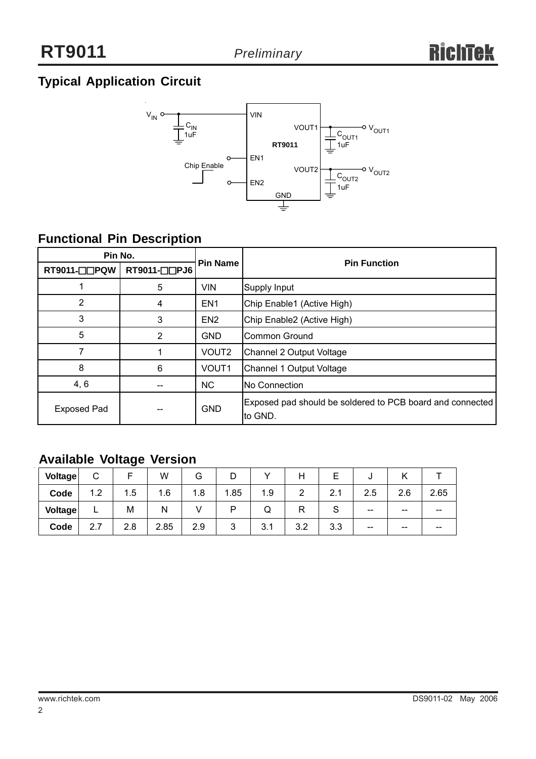## **Typical Application Circuit**



## **Functional Pin Description**

| Pin No.            |                |                 |                                                                      |  |  |
|--------------------|----------------|-----------------|----------------------------------------------------------------------|--|--|
| RT9011-□□PQW       | RT9011-□□PJ6   | <b>Pin Name</b> | <b>Pin Function</b>                                                  |  |  |
|                    | 5              | <b>VIN</b>      | Supply Input                                                         |  |  |
| $\overline{2}$     | 4              | EN <sub>1</sub> | Chip Enable1 (Active High)                                           |  |  |
| 3                  | 3              | EN <sub>2</sub> | Chip Enable2 (Active High)                                           |  |  |
| 5                  | $\overline{2}$ | <b>GND</b>      | Common Ground                                                        |  |  |
|                    |                | VOUT2           | Channel 2 Output Voltage                                             |  |  |
| 8                  | 6              | VOUT1           | Channel 1 Output Voltage                                             |  |  |
| 4, 6               |                | <b>NC</b>       | <b>No Connection</b>                                                 |  |  |
| <b>Exposed Pad</b> |                | <b>GND</b>      | Exposed pad should be soldered to PCB board and connected<br>to GND. |  |  |

## **Available Voltage Version**

| <b>Voltage</b> | ⌒<br>◡          |     | W    | G   |        |     |     |     | υ   |       |      |
|----------------|-----------------|-----|------|-----|--------|-----|-----|-----|-----|-------|------|
| Code           | 1.2             | 1.5 | 1.6  | 1.8 | i.85   | 1.9 | ົ   | 2.1 | 2.5 | 2.6   | 2.65 |
| <b>Voltage</b> | −               | M   | N    |     | ח      | Q   |     |     | --  | $- -$ | --   |
| Code           | <u>_</u><br>2.7 | 2.8 | 2.85 | 2.9 | ◠<br>ີ | 3.1 | 3.2 | 3.3 | --  | $- -$ | --   |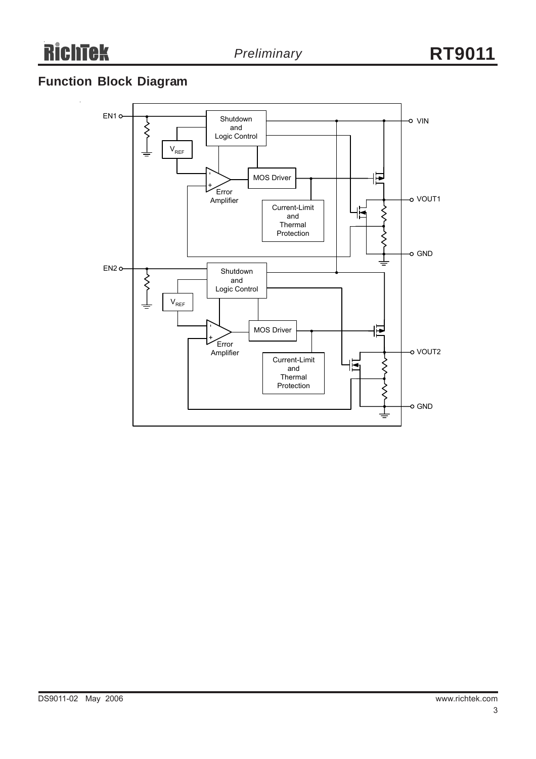## **Function Block Diagram**

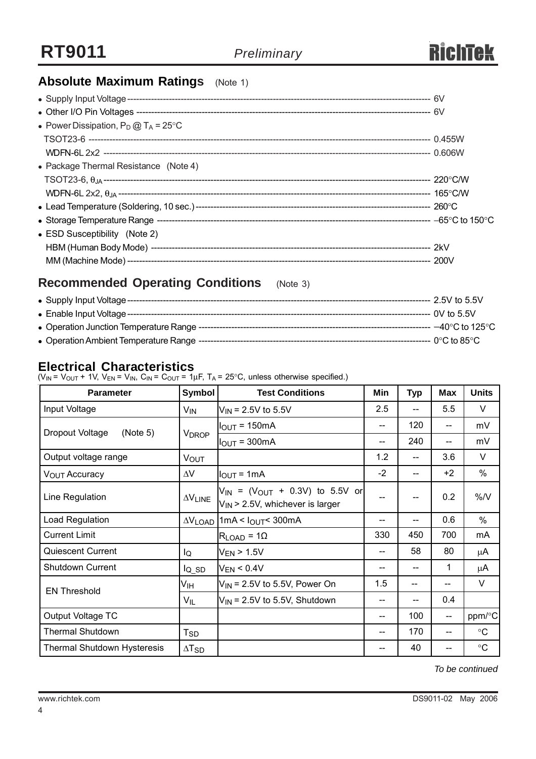

## **Absolute Maximum Ratings** (Note 1)

| • Power Dissipation, $P_D @ T_A = 25^{\circ}C$ |  |
|------------------------------------------------|--|
|                                                |  |
|                                                |  |
| • Package Thermal Resistance (Note 4)          |  |
|                                                |  |
|                                                |  |
|                                                |  |
|                                                |  |
| • ESD Susceptibility (Note 2)                  |  |
|                                                |  |
|                                                |  |
|                                                |  |

## **Recommended Operating Conditions** (Note 3)

| • Supply Input Voltage ---                | -- 2.5V to 5.5V                     |
|-------------------------------------------|-------------------------------------|
|                                           | --- 0V to 5.5V                      |
|                                           | $-40^{\circ}$ C to 125 $^{\circ}$ C |
| • Operation Ambient Temperature Range --- | — 0°С to 85°С ∶                     |

#### **Electrical Characteristics**

(V<sub>IN</sub> = V<sub>OUT</sub> + 1V, V<sub>EN</sub> = V<sub>IN</sub>, C<sub>IN</sub> = C<sub>OUT</sub> = 1µF, T<sub>A</sub> = 25°C, unless otherwise specified.)

| <b>Parameter</b>                   | <b>Symbol</b>                      | <b>Test Conditions</b>                                                                  | Min                                   | <b>Typ</b> | Max                                   | <b>Units</b>    |
|------------------------------------|------------------------------------|-----------------------------------------------------------------------------------------|---------------------------------------|------------|---------------------------------------|-----------------|
| Input Voltage                      | $V_{IN}$                           | $V_{IN}$ = 2.5V to 5.5V                                                                 | 2.5                                   |            | 5.5                                   | V               |
| Dropout Voltage<br>(Note 5)        |                                    | $IOUT = 150mA$                                                                          | --                                    | 120        | $\hspace{0.05cm}$ – $\hspace{0.05cm}$ | mV              |
|                                    | <b>V<sub>DROP</sub></b>            | $I_{\text{OUT}} = 300 \text{mA}$                                                        | --                                    | 240        | --                                    | mV              |
| Output voltage range               | <b>VOUT</b>                        |                                                                                         | 1.2                                   | --         | 3.6                                   | $\vee$          |
| V <sub>OUT</sub> Accuracy          | $\Delta V$                         | $I_{\text{OUT}} = 1 \text{mA}$                                                          | $-2$                                  | --         | $+2$                                  | $\%$            |
| Line Regulation                    | $\Delta\mathsf{V}_{\mathsf{LINE}}$ | $V_{IN}$ = (V <sub>OUT</sub> + 0.3V) to 5.5V or<br>$V_{IN}$ > 2.5V, whichever is larger | --                                    |            | 0.2                                   | %N              |
| Load Regulation                    |                                    | $\Delta V_{\text{LOAD}}$ 1 mA < $I_{\text{OUT}}$ 300 mA                                 | --                                    |            | 0.6                                   | $\frac{0}{0}$   |
| <b>Current Limit</b>               |                                    | $R_{LOAD}$ = 1 $\Omega$                                                                 | 330                                   | 450        | 700                                   | mA              |
| <b>Quiescent Current</b>           | lQ                                 | $V_{EN}$ > 1.5V                                                                         | $\hspace{0.05cm}$ – $\hspace{0.05cm}$ | 58         | 80                                    | μA              |
| Shutdown Current                   | $I_{Q}$ sp                         | $V_{EN}$ < 0.4V                                                                         | --                                    |            | 1                                     | μA              |
| <b>EN Threshold</b>                | Vıн                                | $V_{IN}$ = 2.5V to 5.5V, Power On                                                       | 1.5                                   | --         | --                                    | V               |
|                                    | $V_{IL}$                           | $V_{IN}$ = 2.5V to 5.5V, Shutdown                                                       | --                                    |            | 0.4                                   |                 |
| Output Voltage TC                  |                                    |                                                                                         | $\hspace{0.05cm}$ – $\hspace{0.05cm}$ | 100        | $\overline{\phantom{a}}$              | ppm/°C          |
| <b>Thermal Shutdown</b>            | T <sub>SD</sub>                    |                                                                                         | $\hspace{0.05cm}$ – $\hspace{0.05cm}$ | 170        | $\hspace{0.05cm}$ – $\hspace{0.05cm}$ | $\circ$ C       |
| <b>Thermal Shutdown Hysteresis</b> | $\Delta$ T <sub>SD</sub>           |                                                                                         | --                                    | 40         |                                       | $\rm ^{\circ}C$ |

*To be continued*

4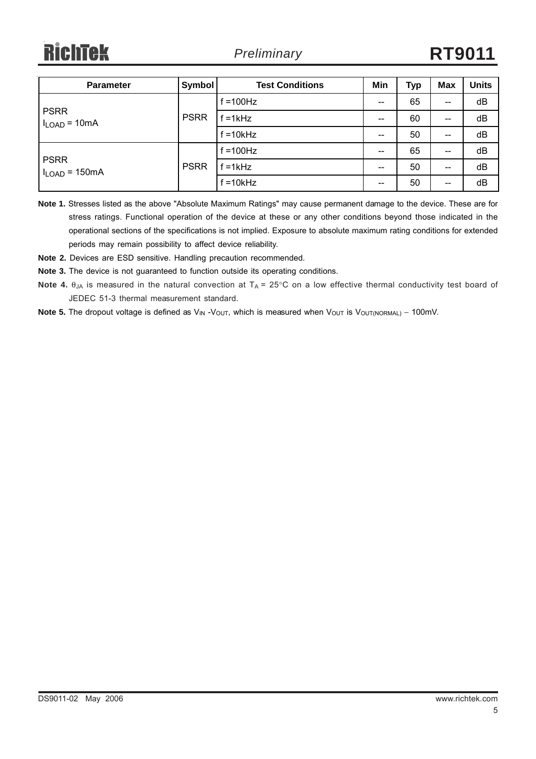**RichTek** 

| <b>Parameter</b>                  | Symbol      | <b>Test Conditions</b> | Min                                   | Typ | <b>Max</b> | <b>Units</b> |
|-----------------------------------|-------------|------------------------|---------------------------------------|-----|------------|--------------|
|                                   | <b>PSRR</b> | $f = 100$ Hz           | $\hspace{0.05cm}$ – $\hspace{0.05cm}$ | 65  | $-$        | dB           |
| <b>PSRR</b><br>$I_{LOAD} = 10mA$  |             | $f = 1kHz$             | $\hspace{0.05cm}$                     | 60  | $-$        | dB           |
|                                   |             | $f = 10kHz$            | $\hspace{0.05cm}$                     | 50  | $-$        | dB           |
|                                   | <b>PSRR</b> | $f = 100$ Hz           | $\overline{\phantom{m}}$              | 65  | --         | dB           |
| <b>PSRR</b><br>$I_{LOAD} = 150mA$ |             | $f = 1kHz$             | $\hspace{0.05cm}$ – $\hspace{0.05cm}$ | 50  | --         | dB           |
|                                   |             | $f = 10kHz$            | $\hspace{0.05cm}$ – $\hspace{0.05cm}$ | 50  | $- -$      | dB           |

**Note 1.** Stresses listed as the above "Absolute Maximum Ratings" may cause permanent damage to the device. These are for stress ratings. Functional operation of the device at these or any other conditions beyond those indicated in the operational sections of the specifications is not implied. Exposure to absolute maximum rating conditions for extended periods may remain possibility to affect device reliability.

**Note 2.** Devices are ESD sensitive. Handling precaution recommended.

**Note 3.** The device is not guaranteed to function outside its operating conditions.

- **Note 4.** θ<sub>JA</sub> is measured in the natural convection at T<sub>A</sub> = 25°C on a low effective thermal conductivity test board of JEDEC 51-3 thermal measurement standard.
- Note 5. The dropout voltage is defined as V<sub>IN</sub> -V<sub>OUT</sub>, which is measured when V<sub>OUT</sub> is V<sub>OUT(NORMAL)</sub> − 100mV.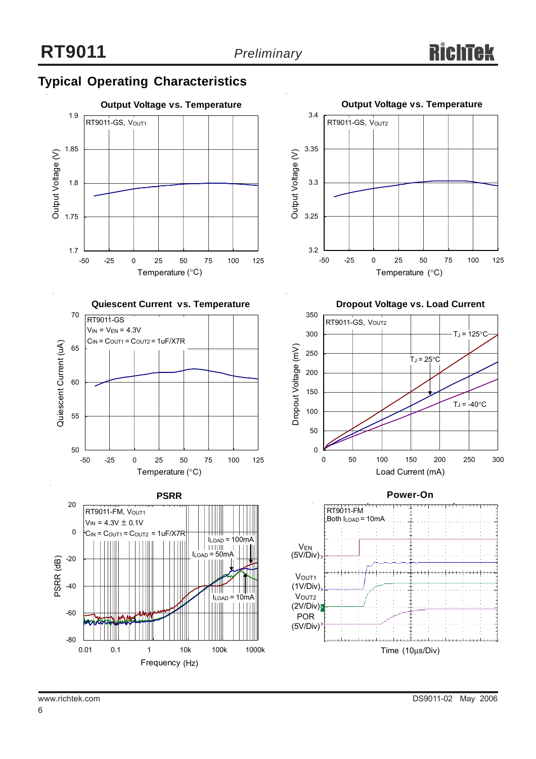## **Typical Operating Characteristics**











**Dropout Voltage vs. Load Current**



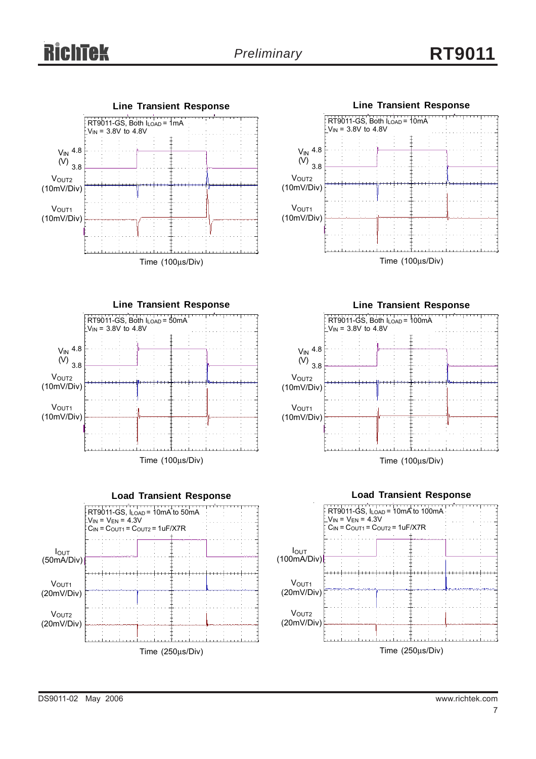# *Preliminary* **RT9011**











Time (100μs/Div)

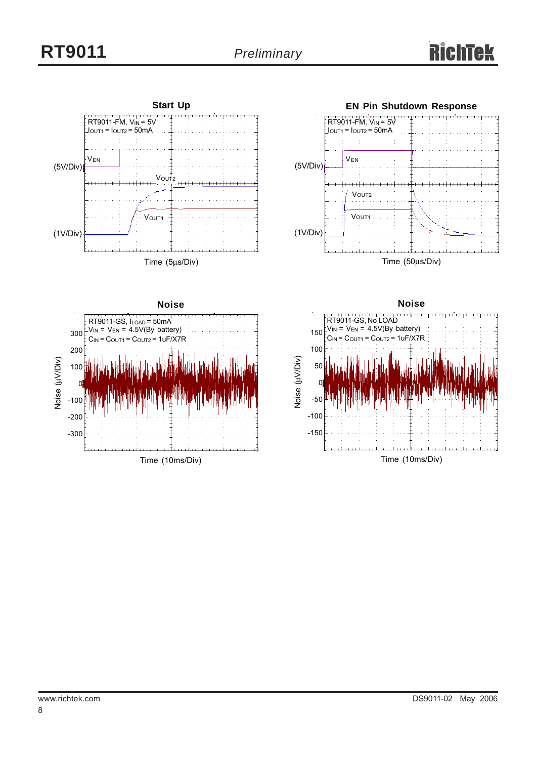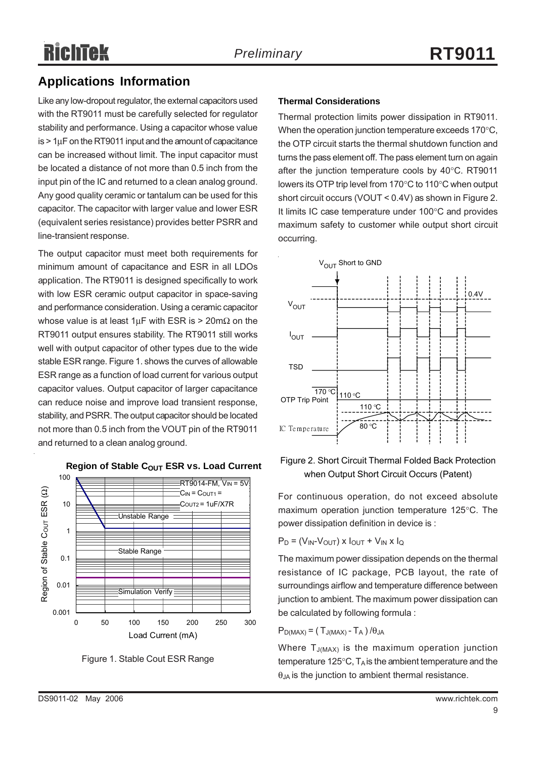#### **Applications Information**

Like any low-dropout regulator, the external capacitors used with the RT9011 must be carefully selected for regulator stability and performance. Using a capacitor whose value  $is$  > 1 $\mu$ F on the RT9011 input and the amount of capacitance can be increased without limit. The input capacitor must be located a distance of not more than 0.5 inch from the input pin of the IC and returned to a clean analog ground. Any good quality ceramic or tantalum can be used for this capacitor. The capacitor with larger value and lower ESR (equivalent series resistance) provides better PSRR and line-transient response.

The output capacitor must meet both requirements for minimum amount of capacitance and ESR in all LDOs application. The RT9011 is designed specifically to work with low ESR ceramic output capacitor in space-saving and performance consideration. Using a ceramic capacitor whose value is at least  $1 \mu$ F with ESR is > 20m $\Omega$  on the RT9011 output ensures stability. The RT9011 still works well with output capacitor of other types due to the wide stable ESR range. Figure 1. shows the curves of allowable ESR range as a function of load current for various output capacitor values. Output capacitor of larger capacitance can reduce noise and improve load transient response, stability, and PSRR. The output capacitor should be located not more than 0.5 inch from the VOUT pin of the RT9011 and returned to a clean analog ground.



Figure 1. Stable Cout ESR Range

#### **Thermal Considerations**

Thermal protection limits power dissipation in RT9011. When the operation junction temperature exceeds 170°C, the OTP circuit starts the thermal shutdown function and turns the pass element off. The pass element turn on again after the junction temperature cools by 40°C. RT9011 lowers its OTP trip level from 170°C to 110°C when output short circuit occurs (VOUT < 0.4V) as shown in Figure 2. It limits IC case temperature under 100°C and provides maximum safety to customer while output short circuit occurring.



#### Figure 2. Short Circuit Thermal Folded Back Protection when Output Short Circuit Occurs (Patent)

For continuous operation, do not exceed absolute maximum operation junction temperature 125°C. The power dissipation definition in device is :

$$
P_D = (V_{IN} - V_{OUT}) \times I_{OUT} + V_{IN} \times I_Q
$$

The maximum power dissipation depends on the thermal resistance of IC package, PCB layout, the rate of surroundings airflow and temperature difference between junction to ambient. The maximum power dissipation can be calculated by following formula :

 $P_{D(MAX)} = (T_{J(MAX)} - T_A) / \theta_{JA}$ 

Where  $T_{J(MAX)}$  is the maximum operation junction temperature 125 $\degree$ C, T<sub>A</sub> is the ambient temperature and the  $\theta_{JA}$  is the junction to ambient thermal resistance.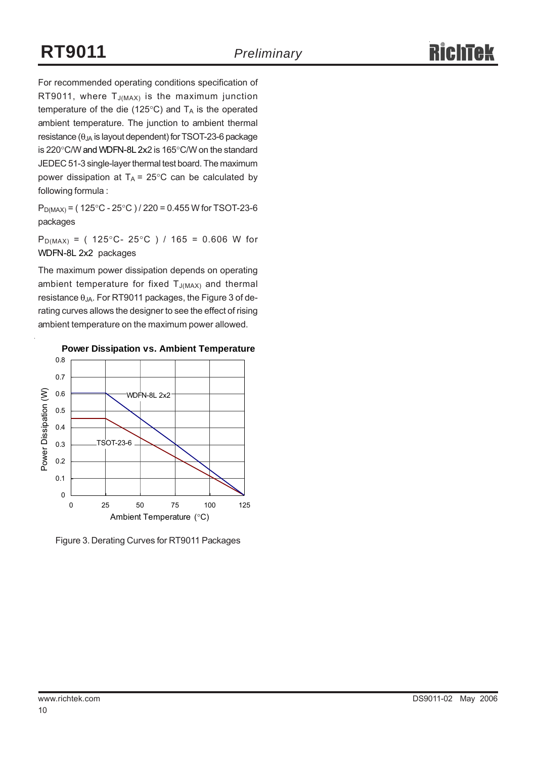For recommended operating conditions specification of RT9011, where  $T_{J(MAX)}$  is the maximum junction temperature of the die (125 $\degree$ C) and T<sub>A</sub> is the operated ambient temperature. The junction to ambient thermal resistance ( $\theta_{JA}$  is layout dependent) for TSOT-23-6 package is 220°C/W and WDFN-8L 2x2 is 165°C/W on the standard JEDEC 51-3 single-layer thermal test board. The maximum power dissipation at  $T_A = 25^{\circ}$ C can be calculated by following formula :

 $P_{D(MAX)} = (125^{\circ}C - 25^{\circ}C) / 220 = 0.455$  W for TSOT-23-6 packages

 $P_{D(MAX)} = (125^{\circ}C - 25^{\circ}C) / 165 = 0.606$  W for WDFN-8L 2x2 packages

The maximum power dissipation depends on operating ambient temperature for fixed  $T_{J(MAX)}$  and thermal resistance  $\theta_{JA}$ . For RT9011 packages, the Figure 3 of derating curves allows the designer to see the effect of rising ambient temperature on the maximum power allowed.



Figure 3. Derating Curves for RT9011 Packages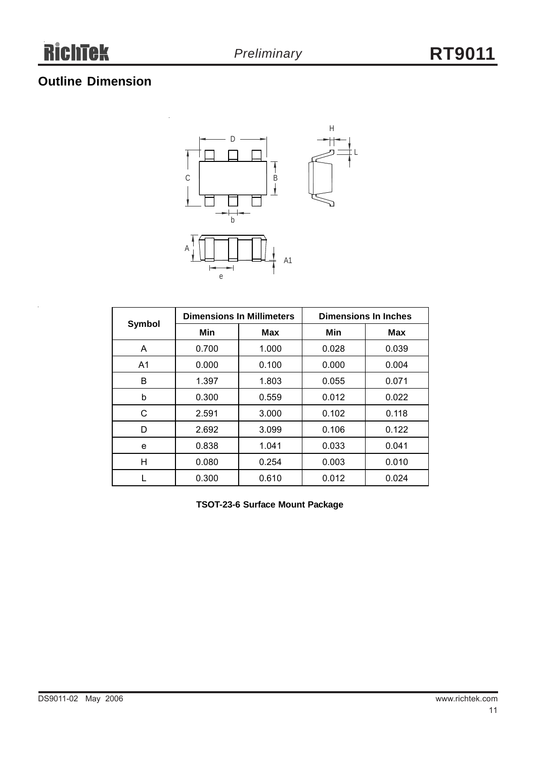## **Outline Dimension**



|                |       | <b>Dimensions In Millimeters</b> | <b>Dimensions In Inches</b> |            |  |  |
|----------------|-------|----------------------------------|-----------------------------|------------|--|--|
| Symbol         | Min   | Max                              | Min                         | <b>Max</b> |  |  |
| A              | 0.700 | 1.000                            | 0.028                       | 0.039      |  |  |
| A <sub>1</sub> | 0.000 | 0.100                            | 0.000                       | 0.004      |  |  |
| B              | 1.397 | 1.803                            | 0.055                       | 0.071      |  |  |
| b              | 0.300 | 0.559                            | 0.012                       | 0.022      |  |  |
| C              | 2.591 | 3.000                            | 0.102                       | 0.118      |  |  |
| D              | 2.692 | 3.099                            | 0.106                       | 0.122      |  |  |
| e              | 0.838 | 1.041                            | 0.033                       | 0.041      |  |  |
| Η              | 0.080 | 0.254                            | 0.003                       | 0.010      |  |  |
|                | 0.300 | 0.610                            | 0.012                       | 0.024      |  |  |

**TSOT-23-6 Surface Mount Package**